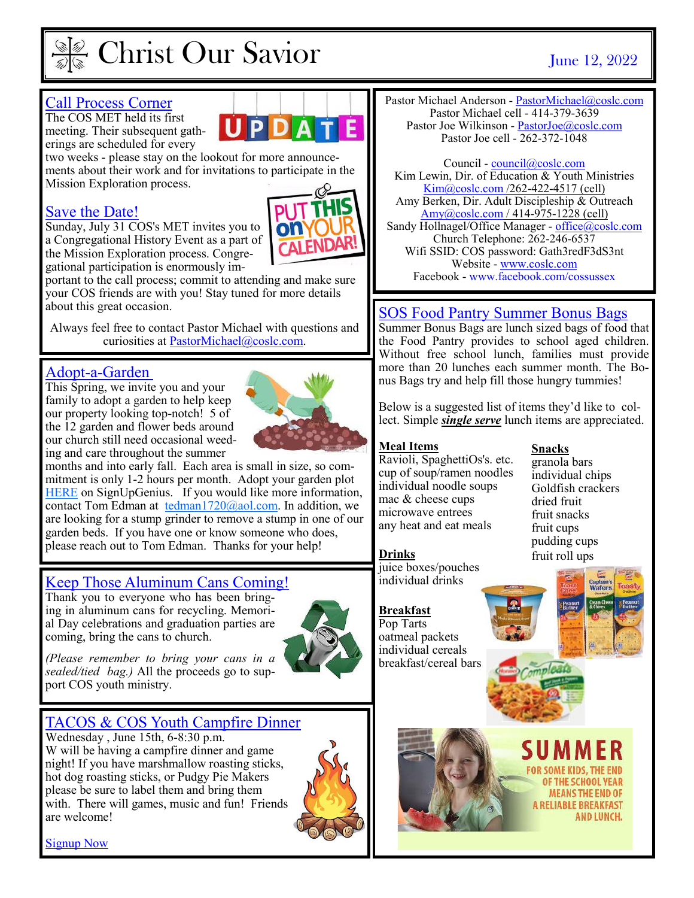

# Christ Our Savior June 12, 2022

#### Call Process Corner

The COS MET held its first meeting. Their subsequent gatherings are scheduled for every

two weeks - please stay on the lookout for more announcements about their work and for invitations to participate in the Mission Exploration process.

#### Save the Date!

Sunday, July 31 COS's MET invites you to a Congregational History Event as a part of the Mission Exploration process. Congregational participation is enormously im-



portant to the call process; commit to attending and make sure your COS friends are with you! Stay tuned for more details about this great occasion.

Always feel free to contact Pastor Michael with questions and curiosities at PastorMichael@coslc.com.

#### Adopt-a-Garden

This Spring, we invite you and your family to adopt a garden to help keep our property looking top-notch! 5 of the 12 garden and flower beds around our church still need occasional weeding and care throughout the summer



months and into early fall. Each area is small in size, so commitment is only 1-2 hours per month. Adopt your garden plot [HERE o](https://www.signupgenius.com/go/5080c4eaaa82da0ff2-adopt)n SignUpGenius. If you would like more information, contact Tom Edman at [tedman1720@aol.com.](mailto:tedman1720@aol.com) In addition, we are looking for a stump grinder to remove a stump in one of our garden beds. If you have one or know someone who does, please reach out to Tom Edman. Thanks for your help!

## Keep Those Aluminum Cans Coming!

Thank you to everyone who has been bringing in aluminum cans for recycling. Memorial Day celebrations and graduation parties are coming, bring the cans to church.



*(Please remember to bring your cans in a sealed/tied bag.)* All the proceeds go to support COS youth ministry.

### TACOS & COS Youth Campfire Dinner

Wednesday , June 15th, 6-8:30 p.m. W will be having a campfire dinner and game night! If you have marshmallow roasting sticks, hot dog roasting sticks, or Pudgy Pie Makers please be sure to label them and bring them with. There will games, music and fun! Friends are welcome!



Pastor Michael Anderson - [PastorMichael@coslc.com](mailto:PastorMichael@coslc.com) Pastor Michael cell - 414-379-3639 Pastor Joe Wilkinson - PastorJoe@coslc.com Pastor Joe cell - 262-372-1048

Council - council@coslc.com Kim Lewin, Dir. of Education & Youth Ministries [Kim@coslc.com /](mailto:Kim@coslc.com)262-422-4517 (cell) Amy Berken, Dir. Adult Discipleship & Outreach [Amy@coslc.com /](mailto:amy@coslc.com) 414-975-1228 (cell) Sandy Hollnagel/Office Manager - [office@coslc.com](mailto:office@coslc.com) Church Telephone: 262-246-6537 Wifi SSID: COS password: Gath3redF3dS3nt Website - [www.coslc.com](http://www.coslc.com)  Facebook - www.facebook.com/cossussex

### SOS Food Pantry Summer Bonus Bags

Summer Bonus Bags are lunch sized bags of food that the Food Pantry provides to school aged children. Without free school lunch, families must provide more than 20 lunches each summer month. The Bonus Bags try and help fill those hungry tummies!

Below is a suggested list of items they'd like to collect. Simple *single serve* lunch items are appreciated.

#### **Meal Items**

Ravioli, SpaghettiOs's. etc. cup of soup/ramen noodles individual noodle soups mac & cheese cups microwave entrees any heat and eat meals

#### **Drinks**

**Breakfast**

juice boxes/pouches individual drinks

#### **Snacks**

granola bars individual chips Goldfish crackers dried fruit fruit snacks fruit cups pudding cups fruit roll ups



Pop Tarts oatmeal packets individual cereals breakfast/cereal bars



FOR SOME KIDS, THE OF THE SCHOOL YEAR **MEANS THE END OF A RELIABLE BREAKFAST** AND LUNCH.

[Signup Now](https://www.signupgenius.com/go/5080c4eaaa82da0ff2-campfire)